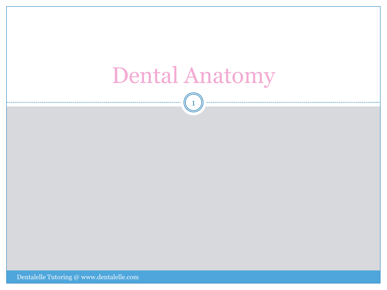### Dental Anatomy

1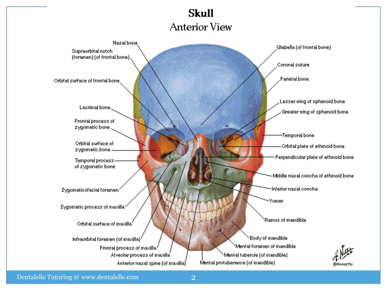#### **Skull Anterior View**

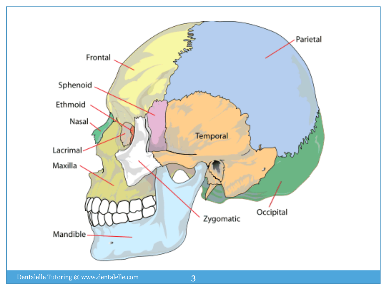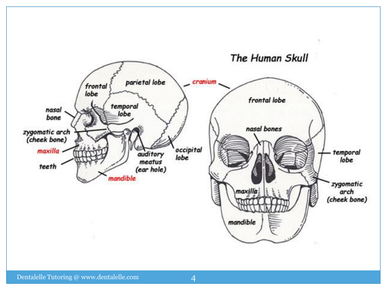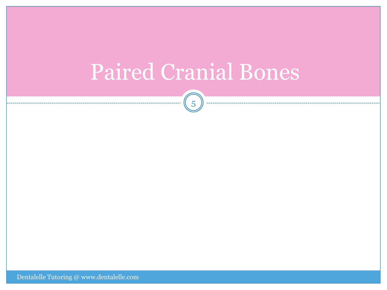# Paired Cranial Bones

 $\sqrt{5}$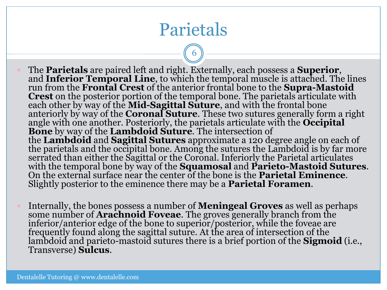### Parietals

- The **Parietals** are paired left and right. Externally, each possess a **Superior**, and **Inferior Temporal Line**, to which the temporal muscle is attached. The lines run from the **Frontal Crest** of the anterior frontal bone to the **Supra-Mastoid Crest** on the posterior portion of the temporal bone. The parietals articulate with each other by way of the **Mid-Sagittal Suture**, and with the frontal bone anteriorly by way of the **Coronal Suture**. These two sutures generally form a right angle with one another. Posteriorly, the parietals articulate with the **Occipital Bone** by way of the **Lambdoid Suture**. The intersection of the **Lambdoid** and **Sagittal Sutures** approximate a 120 degree angle on each of the parietals and the occipital bone. Among the sutures the Lambdoid is by far more serrated than either the Sagittal or the Coronal. Inferiorly the Parietal articulates with the temporal bone by way of the **Squamosal** and **Parieto-Mastoid Sutures**. On the external surface near the center of the bone is the **Parietal Eminence**. Slightly posterior to the eminence there may be a **Parietal Foramen**.
- Internally, the bones possess a number of **Meningeal Groves** as well as perhaps some number of **Arachnoid Foveae**. The groves generally branch from the inferior/anterior edge of the bone to superior/posterior, while the foveae are frequently found along the sagittal suture. At the area of intersection of the lambdoid and parieto-mastoid sutures there is a brief portion of the **Sigmoid** (i.e., Transverse) **Sulcus**.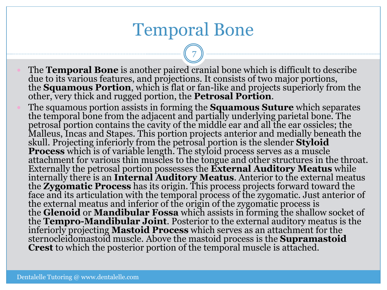#### Temporal Bone

- The **Temporal Bone** is another paired cranial bone which is difficult to describe due to its various features, and projections. It consists of two major portions, the **Squamous Portion**, which is flat or fan-like and projects superiorly from the other, very thick and rugged portion, the **Petrosal Portion**.
- The squamous portion assists in forming the **Squamous Suture** which separates the temporal bone from the adjacent and partially underlying parietal bone. The petrosal portion contains the cavity of the middle ear and all the ear ossicles; the Malleus, Incas and Stapes. This portion projects anterior and medially beneath the skull. Projecting inferiorly from the petrosal portion is the slender **Styloid Process** which is of variable length. The styloid process serves as a muscle attachment for various thin muscles to the tongue and other structures in the throat. Externally the petrosal portion possesses the **External Auditory Meatus** while internally there is an **Internal Auditory Meatus**. Anterior to the external meatus the **Zygomatic Process** has its origin. This process projects forward toward the face and its articulation with the temporal process of the zygomatic. Just anterior of the external meatus and inferior of the origin of the zygomatic process is the **Glenoid** or **Mandibular Fossa** which assists in forming the shallow socket of the **Tempro-Mandibular Joint**. Posterior to the external auditory meatus is the inferiorly projecting **Mastoid Process** which serves as an attachment for the sternocleidomastoid muscle. Above the mastoid process is the **Supramastoid Crest** to which the posterior portion of the temporal muscle is attached.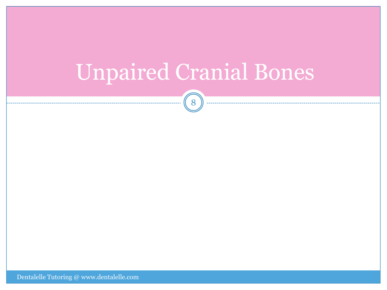# Unpaired Cranial Bones

8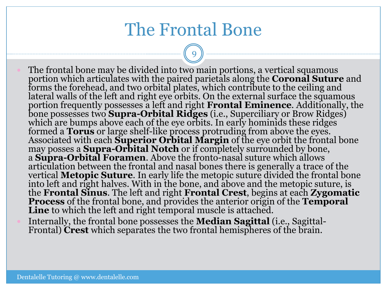#### The Frontal Bone

- The frontal bone may be divided into two main portions, a vertical squamous portion which articulates with the paired parietals along the **Coronal Suture** and forms the forehead, and two orbital plates, which contribute to the ceiling and lateral walls of the left and right eye orbits. On the external surface the squamous portion frequently possesses a left and right **Frontal Eminence**. Additionally, the bone possesses two **Supra-Orbital Ridges** (i.e., Superciliary or Brow Ridges) which are bumps above each of the eye orbits. In early hominids these ridges formed a **Torus** or large shelf-like process protruding from above the eyes. Associated with each **Superior Orbital Margin** of the eye orbit the frontal bone may posses a **Supra-Orbital Notch** or if completely surrounded by bone, a **Supra-Orbital Foramen**. Above the fronto-nasal suture which allows articulation between the frontal and nasal bones there is generally a trace of the vertical **Metopic Suture**. In early life the metopic suture divided the frontal bone into left and right halves. With in the bone, and above and the metopic suture, is the **Frontal Sinus**. The left and right **Frontal Crest**, begins at each **Zygomatic Process** of the frontal bone, and provides the anterior origin of the **Temporal Line** to which the left and right temporal muscle is attached.
- Internally, the frontal bone possesses the **Median Sagittal** (i.e., Sagittal-Frontal) **Crest** which separates the two frontal hemispheres of the brain.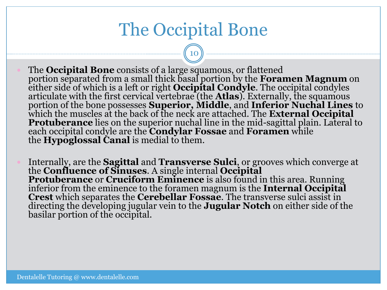#### The Occipital Bone

- The **Occipital Bone** consists of a large squamous, or flattened portion separated from a small thick basal portion by the **Foramen Magnum** on either side of which is a left or right **Occipital Condyle**. The occipital condyles articulate with the first cervical vertebrae (the **Atlas**). Externally, the squamous portion of the bone possesses **Superior, Middle**, and **Inferior Nuchal Lines** to which the muscles at the back of the neck are attached. The **External Occipital Protuberance** lies on the superior nuchal line in the mid-sagittal plain. Lateral to each occipital condyle are the **Condylar Fossae** and **Foramen** while the **Hypoglossal Canal** is medial to them.
- Internally, are the **Sagittal** and **Transverse Sulci**, or grooves which converge at the **Confluence of Sinuses**. A single internal **Occipital Protuberance** or **Cruciform Eminence** is also found in this area. Running inferior from the eminence to the foramen magnum is the **Internal Occipital Crest** which separates the **Cerebellar Fossae**. The transverse sulci assist in directing the developing jugular vein to the **Jugular Notch** on either side of the basilar portion of the occipital.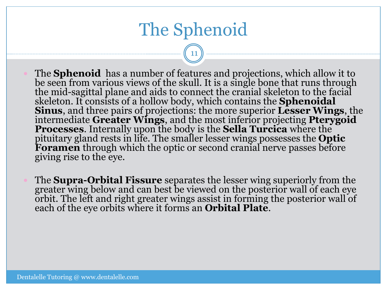#### The Sphenoid

- The **Sphenoid** has a number of features and projections, which allow it to be seen from various views of the skull. It is a single bone that runs through the mid-sagittal plane and aids to connect the cranial skeleton to the facial skeleton. It consists of a hollow body, which contains the **Sphenoidal Sinus**, and three pairs of projections: the more superior **Lesser Wings**, the intermediate **Greater Wings**, and the most inferior projecting **Pterygoid Processes**. Internally upon the body is the **Sella Turcica** where the pituitary gland rests in life. The smaller lesser wings possesses the **Optic Foramen** through which the optic or second cranial nerve passes before giving rise to the eye.
- The **Supra-Orbital Fissure** separates the lesser wing superiorly from the greater wing below and can best be viewed on the posterior wall of each eye orbit. The left and right greater wings assist in forming the posterior wall of each of the eye orbits where it forms an **Orbital Plate**.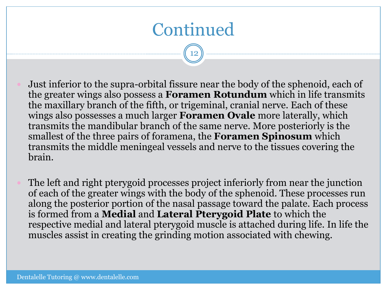### Continued

- Just inferior to the supra-orbital fissure near the body of the sphenoid, each of the greater wings also possess a **Foramen Rotundum** which in life transmits the maxillary branch of the fifth, or trigeminal, cranial nerve. Each of these wings also possesses a much larger **Foramen Ovale** more laterally, which transmits the mandibular branch of the same nerve. More posteriorly is the smallest of the three pairs of foramena, the **Foramen Spinosum** which transmits the middle meningeal vessels and nerve to the tissues covering the brain.
- The left and right pterygoid processes project inferiorly from near the junction of each of the greater wings with the body of the sphenoid. These processes run along the posterior portion of the nasal passage toward the palate. Each process is formed from a **Medial** and **Lateral Pterygoid Plate** to which the respective medial and lateral pterygoid muscle is attached during life. In life the muscles assist in creating the grinding motion associated with chewing.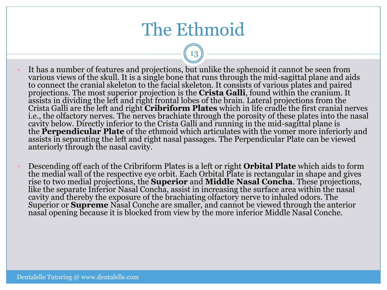#### The Ethmoid

- It has a number of features and projections, but unlike the sphenoid it cannot be seen from various views of the skull. It is a single bone that runs through the mid-sagittal plane and aids to connect the cranial skeleton to the facial skeleton. It consists of various plates and paired projections. The most superior projection is the **Crista Galli**, found within the cranium. It assists in dividing the left and right frontal lobes of the brain. Lateral projections from the Crista Galli are the left and right **Cribriform Plates** which in life cradle the first cranial nerves i.e., the olfactory nerves. The nerves brachiate through the porosity of these plates into the nasal cavity below. Directly inferior to the Crista Galli and running in the mid-sagittal plane is the **Perpendicular Plate** of the ethmoid which articulates with the vomer more inferiorly and assists in separating the left and right nasal passages. The Perpendicular Plate can be viewed anteriorly through the nasal cavity.
- Descending off each of the Cribriform Plates is a left or right **Orbital Plate** which aids to form the medial wall of the respective eye orbit. Each Orbital Plate is rectangular in shape and gives rise to two medial projections, the **Superior** and **Middle Nasal Concha**. These projections, like the separate Inferior Nasal Concha, assist in increasing the surface area within the nasal cavity and thereby the exposure of the brachiating olfactory nerve to inhaled odors. The Superior or **Supreme** Nasal Conche are smaller, and cannot be viewed through the anterior nasal opening because it is blocked from view by the more inferior Middle Nasal Conche.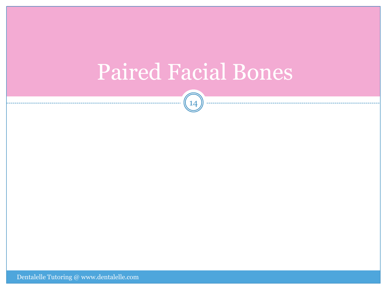### Paired Facial Bones

 $(14)^{10}$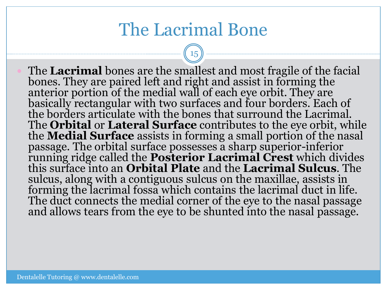#### The Lacrimal Bone

15

 The **Lacrimal** bones are the smallest and most fragile of the facial bones. They are paired left and right and assist in forming the anterior portion of the medial wall of each eye orbit. They are basically rectangular with two surfaces and four borders. Each of the borders articulate with the bones that surround the Lacrimal. The **Orbital** or **Lateral Surface** contributes to the eye orbit, while the **Medial Surface** assists in forming a small portion of the nasal passage. The orbital surface possesses a sharp superior-inferior running ridge called the **Posterior Lacrimal Crest** which divides this surface into an **Orbital Plate** and the **Lacrimal Sulcus**. The sulcus, along with a contiguous sulcus on the maxillae, assists in forming the lacrimal fossa which contains the lacrimal duct in life. The duct connects the medial corner of the eye to the nasal passage and allows tears from the eye to be shunted into the nasal passage.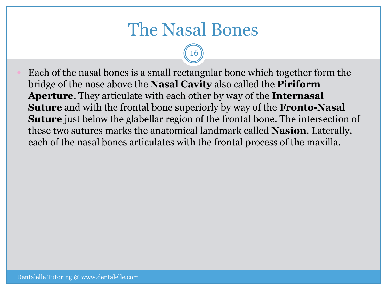#### The Nasal Bones

16

 Each of the nasal bones is a small rectangular bone which together form the bridge of the nose above the **Nasal Cavity** also called the **Piriform Aperture**. They articulate with each other by way of the **Internasal Suture** and with the frontal bone superiorly by way of the **Fronto-Nasal Suture** just below the glabellar region of the frontal bone. The intersection of these two sutures marks the anatomical landmark called **Nasion**. Laterally, each of the nasal bones articulates with the frontal process of the maxilla.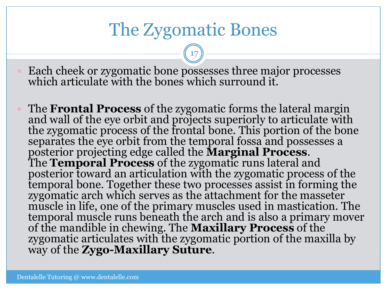#### The Zygomatic Bones

17

 Each cheek or zygomatic bone possesses three major processes which articulate with the bones which surround it.

 The **Frontal Process** of the zygomatic forms the lateral margin and wall of the eye orbit and projects superiorly to articulate with the zygomatic process of the frontal bone. This portion of the bone separates the eye orbit from the temporal fossa and possesses a posterior projecting edge called the **Marginal Process**. The **Temporal Process** of the zygomatic runs lateral and posterior toward an articulation with the zygomatic process of the temporal bone. Together these two processes assist in forming the zygomatic arch which serves as the attachment for the masseter muscle in life, one of the primary muscles used in mastication. The temporal muscle runs beneath the arch and is also a primary mover of the mandible in chewing. The **Maxillary Process** of the zygomatic articulates with the zygomatic portion of the maxilla by way of the **Zygo-Maxillary Suture**.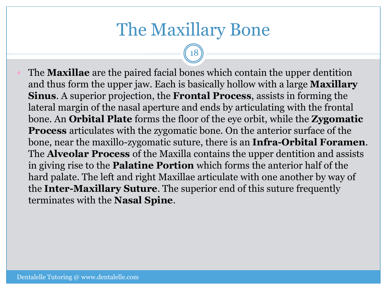#### The Maxillary Bone

18

 The **Maxillae** are the paired facial bones which contain the upper dentition and thus form the upper jaw. Each is basically hollow with a large **Maxillary Sinus**. A superior projection, the **Frontal Process**, assists in forming the lateral margin of the nasal aperture and ends by articulating with the frontal bone. An **Orbital Plate** forms the floor of the eye orbit, while the **Zygomatic Process** articulates with the zygomatic bone. On the anterior surface of the bone, near the maxillo-zygomatic suture, there is an **Infra-Orbital Foramen**. The **Alveolar Process** of the Maxilla contains the upper dentition and assists in giving rise to the **Palatine Portion** which forms the anterior half of the hard palate. The left and right Maxillae articulate with one another by way of the **Inter-Maxillary Suture**. The superior end of this suture frequently terminates with the **Nasal Spine**.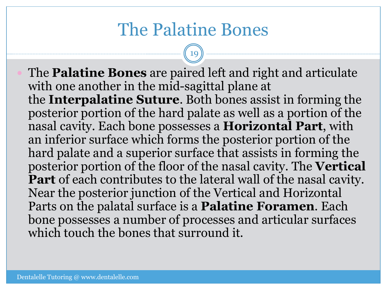#### The Palatine Bones

19

 The **Palatine Bones** are paired left and right and articulate with one another in the mid-sagittal plane at the **Interpalatine Suture**. Both bones assist in forming the posterior portion of the hard palate as well as a portion of the nasal cavity. Each bone possesses a **Horizontal Part**, with an inferior surface which forms the posterior portion of the hard palate and a superior surface that assists in forming the posterior portion of the floor of the nasal cavity. The **Vertical Part** of each contributes to the lateral wall of the nasal cavity. Near the posterior junction of the Vertical and Horizontal Parts on the palatal surface is a **Palatine Foramen**. Each bone possesses a number of processes and articular surfaces which touch the bones that surround it.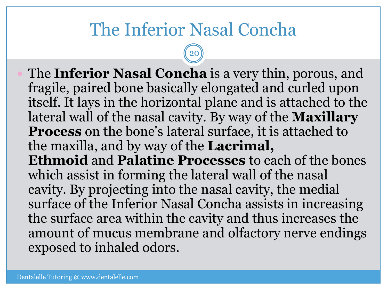#### The Inferior Nasal Concha

20

 The **Inferior Nasal Concha** is a very thin, porous, and fragile, paired bone basically elongated and curled upon itself. It lays in the horizontal plane and is attached to the lateral wall of the nasal cavity. By way of the **Maxillary Process** on the bone's lateral surface, it is attached to the maxilla, and by way of the **Lacrimal, Ethmoid** and **Palatine Processes** to each of the bones which assist in forming the lateral wall of the nasal cavity. By projecting into the nasal cavity, the medial surface of the Inferior Nasal Concha assists in increasing the surface area within the cavity and thus increases the amount of mucus membrane and olfactory nerve endings exposed to inhaled odors.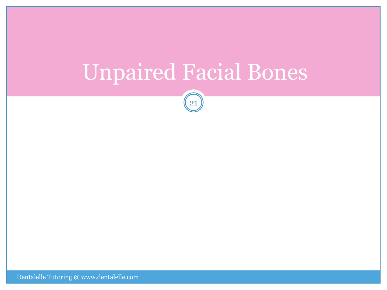### Unpaired Facial Bones

 $\begin{pmatrix} 21 \end{pmatrix}$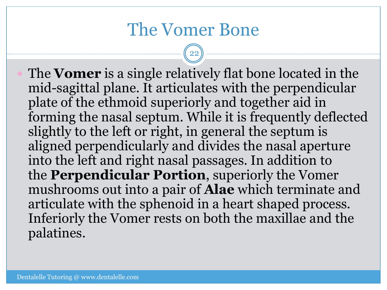#### The Vomer Bone

22

 The **Vomer** is a single relatively flat bone located in the mid-sagittal plane. It articulates with the perpendicular plate of the ethmoid superiorly and together aid in forming the nasal septum. While it is frequently deflected slightly to the left or right, in general the septum is aligned perpendicularly and divides the nasal aperture into the left and right nasal passages. In addition to the **Perpendicular Portion**, superiorly the Vomer mushrooms out into a pair of **Alae** which terminate and articulate with the sphenoid in a heart shaped process. Inferiorly the Vomer rests on both the maxillae and the palatines.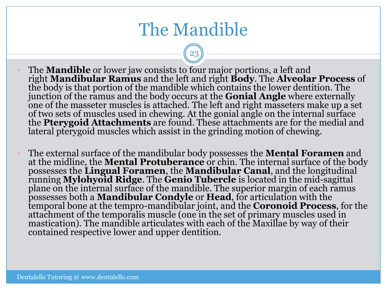#### The Mandible

- The **Mandible** or lower jaw consists to four major portions, a left and right **Mandibular Ramus** and the left and right **Body**. The **Alveolar Process** of the body is that portion of the mandible which contains the lower dentition. The junction of the ramus and the body occurs at the **Gonial Angle** where externally one of the masseter muscles is attached. The left and right masseters make up a set of two sets of muscles used in chewing. At the gonial angle on the internal surface the **Pterygoid Attachments** are found. These attachments are for the medial and lateral pterygoid muscles which assist in the grinding motion of chewing.
	- The external surface of the mandibular body possesses the **Mental Foramen** and at the midline, the **Mental Protuberance** or chin. The internal surface of the body possesses the **Lingual Foramen**, the **Mandibular Canal**, and the longitudinal running **Mylohyoid Ridge**. The **Genio Tubercle** is located in the mid-sagittal plane on the internal surface of the mandible. The superior margin of each ramus possesses both a **Mandibular Condyle** or **Head**, for articulation with the temporal bone at the tempro-mandibular joint, and the **Coronoid Process**, for the attachment of the temporalis muscle (one in the set of primary muscles used in mastication). The mandible articulates with each of the Maxillae by way of their contained respective lower and upper dentition.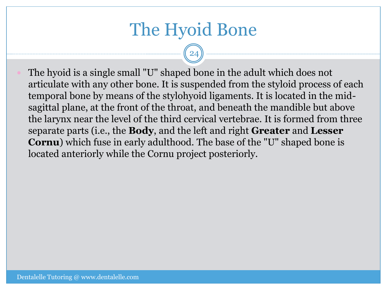#### The Hyoid Bone

24

 The hyoid is a single small "U" shaped bone in the adult which does not articulate with any other bone. It is suspended from the styloid process of each temporal bone by means of the stylohyoid ligaments. It is located in the midsagittal plane, at the front of the throat, and beneath the mandible but above the larynx near the level of the third cervical vertebrae. It is formed from three separate parts (i.e., the **Body**, and the left and right **Greater** and **Lesser Cornu**) which fuse in early adulthood. The base of the "U" shaped bone is located anteriorly while the Cornu project posteriorly.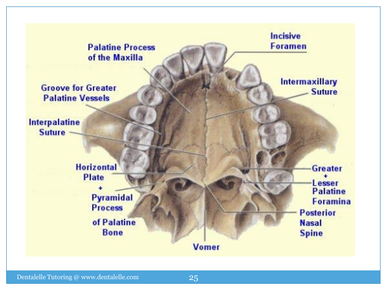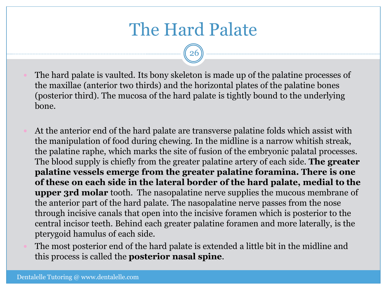### The Hard Palate

- The hard palate is vaulted. Its bony skeleton is made up of the palatine processes of the maxillae (anterior two thirds) and the horizontal plates of the palatine bones (posterior third). The mucosa of the hard palate is tightly bound to the underlying bone.
- At the anterior end of the hard palate are transverse palatine folds which assist with the manipulation of food during chewing. In the midline is a narrow whitish streak, the palatine raphe, which marks the site of fusion of the embryonic palatal processes. The blood supply is chiefly from the greater palatine artery of each side. **The greater palatine vessels emerge from the greater palatine foramina. There is one of these on each side in the lateral border of the hard palate, medial to the upper 3rd molar** tooth. The nasopalatine nerve supplies the mucous membrane of the anterior part of the hard palate. The nasopalatine nerve passes from the nose through incisive canals that open into the incisive foramen which is posterior to the central incisor teeth. Behind each greater palatine foramen and more laterally, is the pterygoid hamulus of each side.
- The most posterior end of the hard palate is extended a little bit in the midline and this process is called the **posterior nasal spine**.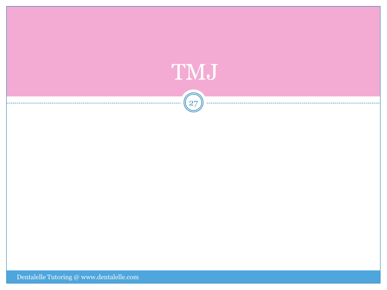

Dentalelle Tutoring  $@$  www.dentalelle.com  $% \mathcal{N}$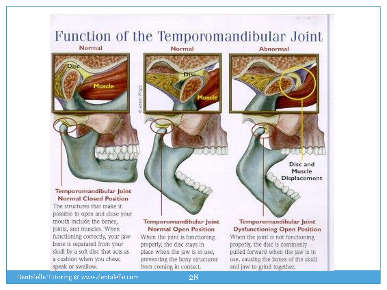

mouth include the bones, joints, and muscles. When functioning correctly, your jawbone is separated from your skull by a soft disc that acts as a cushion when you chew, speak or swallow.

#### Temporomandibular Joint **Normal Open Position**

When the joint is functioning properly, the disc stays in place when the jaw is in use, preventing the bony structures from coming in contact.

Temporomandibular Joint **Dysfunctioning Open Position** 

When the joint is not functioning properly, the disc is commonly pulled forward when the jaw is in use, causing the bones of the skull and jaw to grind together.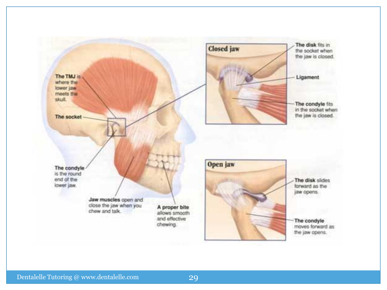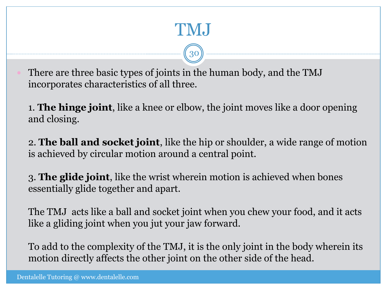### TMJ

30

 There are three basic types of joints in the human body, and the TMJ incorporates characteristics of all three.

1. **The hinge joint**, like a knee or elbow, the joint moves like a door opening and closing.

2. **The ball and socket joint**, like the hip or shoulder, a wide range of motion is achieved by circular motion around a central point.

3. **The glide joint**, like the wrist wherein motion is achieved when bones essentially glide together and apart.

The TMJ acts like a ball and socket joint when you chew your food, and it acts like a gliding joint when you jut your jaw forward.

To add to the complexity of the TMJ, it is the only joint in the body wherein its motion directly affects the other joint on the other side of the head.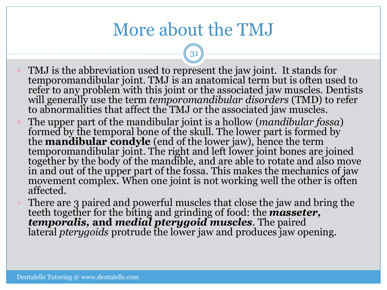#### More about the TMJ

- TMJ is the abbreviation used to represent the jaw joint. It stands for temporomandibular joint. TMJ is an anatomical term but is often used to refer to any problem with this joint or the associated jaw muscles. Dentists will generally use the term *temporomandibular disorders* (TMD) to refer to abnormalities that affect the TMJ or the associated jaw muscles.
- The upper part of the mandibular joint is a hollow (*mandibular fossa*) formed by the temporal bone of the skull. The lower part is formed by the **mandibular condyle** (end of the lower jaw), hence the term temporomandibular joint. The right and left lower joint bones are joined together by the body of the mandible, and are able to rotate and also move in and out of the upper part of the fossa. This makes the mechanics of jaw movement complex. When one joint is not working well the other is often affected.
- There are 3 paired and powerful muscles that close the jaw and bring the teeth together for the biting and grinding of food: the *masseter, temporalis,* **and** *medial pterygoid muscles.* The paired lateral *pterygoids* protrude the lower jaw and produces jaw opening.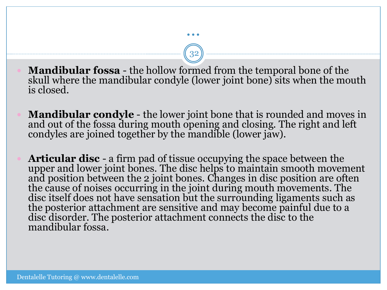**Mandibular fossa** - the hollow formed from the temporal bone of the skull where the mandibular condyle (lower joint bone) sits when the mouth is closed.

…

- **Mandibular condyle** the lower joint bone that is rounded and moves in and out of the fossa during mouth opening and closing. The right and left condyles are joined together by the mandible (lower jaw).
- **Articular disc** a firm pad of tissue occupying the space between the upper and lower joint bones. The disc helps to maintain smooth movement and position between the 2 joint bones. Changes in disc position are often the cause of noises occurring in the joint during mouth movements. The disc itself does not have sensation but the surrounding ligaments such as the posterior attachment are sensitive and may become painful due to a disc disorder. The posterior attachment connects the disc to the mandibular fossa.